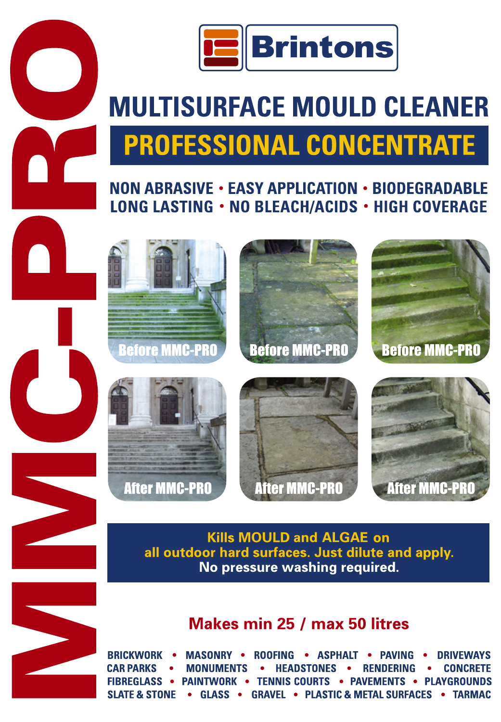

# **MULTISURFACE MOULD CLEANER PROFESSIONAL CONCENTRATE**

### NON ABRASIVE . EASY APPLICATION . BIODEGRADABLE LONG LASTING . NO BLEACH/ACIDS . HIGH COVERAGE





**After MMC-PRO** 

**After MMC-PI** 

**After MMC-PRO** 



## Makes min 25 / max 50 litres

**BRICKWORK** • ASPHALT **MASONRY . ROOFING DRIVEWAYS CAR PARKS RENDERING MONIIMENTS HFADSTONFS CONCRETE FIBREGLASS . PAINTWORK • TENNIS COURTS PAVEMENTS • PLAYGROUNDS SLATE & STONE GLASS GRAVEL . PLASTIC & METAL SURFACES . TARMAC**